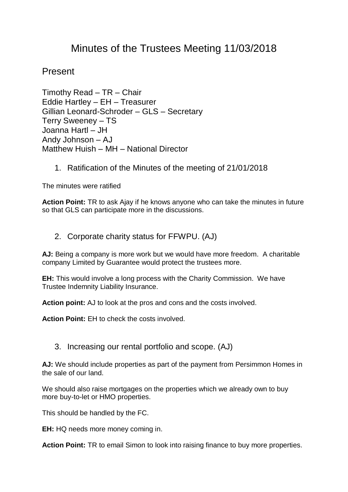# Minutes of the Trustees Meeting 11/03/2018

## Present

Timothy Read – TR – Chair Eddie Hartley – EH – Treasurer Gillian Leonard-Schroder – GLS – Secretary Terry Sweeney – TS Joanna Hartl – JH Andy Johnson – AJ Matthew Huish – MH – National Director

1. Ratification of the Minutes of the meeting of 21/01/2018

The minutes were ratified

**Action Point:** TR to ask Ajay if he knows anyone who can take the minutes in future so that GLS can participate more in the discussions.

2. Corporate charity status for FFWPU. (AJ)

**AJ:** Being a company is more work but we would have more freedom. A charitable company Limited by Guarantee would protect the trustees more.

**EH:** This would involve a long process with the Charity Commission. We have Trustee Indemnity Liability Insurance.

**Action point:** AJ to look at the pros and cons and the costs involved.

**Action Point:** EH to check the costs involved.

3. Increasing our rental portfolio and scope. (AJ)

**AJ:** We should include properties as part of the payment from Persimmon Homes in the sale of our land.

We should also raise mortgages on the properties which we already own to buy more buy-to-let or HMO properties.

This should be handled by the FC.

**EH:** HQ needs more money coming in.

**Action Point:** TR to email Simon to look into raising finance to buy more properties.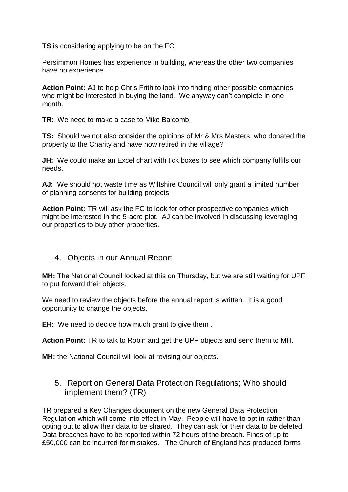**TS** is considering applying to be on the FC.

Persimmon Homes has experience in building, whereas the other two companies have no experience.

**Action Point:** AJ to help Chris Frith to look into finding other possible companies who might be interested in buying the land. We anyway can't complete in one month.

**TR:** We need to make a case to Mike Balcomb.

**TS:** Should we not also consider the opinions of Mr & Mrs Masters, who donated the property to the Charity and have now retired in the village?

**JH:** We could make an Excel chart with tick boxes to see which company fulfils our needs.

**AJ:** We should not waste time as Wiltshire Council will only grant a limited number of planning consents for building projects.

**Action Point:** TR will ask the FC to look for other prospective companies which might be interested in the 5-acre plot. AJ can be involved in discussing leveraging our properties to buy other properties.

#### 4. Objects in our Annual Report

**MH:** The National Council looked at this on Thursday, but we are still waiting for UPF to put forward their objects.

We need to review the objects before the annual report is written. It is a good opportunity to change the objects.

**EH:** We need to decide how much grant to give them .

**Action Point:** TR to talk to Robin and get the UPF objects and send them to MH.

**MH:** the National Council will look at revising our objects.

#### 5. Report on General Data Protection Regulations; Who should implement them? (TR)

TR prepared a Key Changes document on the new General Data Protection Regulation which will come into effect in May. People will have to opt in rather than opting out to allow their data to be shared. They can ask for their data to be deleted. Data breaches have to be reported within 72 hours of the breach. Fines of up to £50,000 can be incurred for mistakes. The Church of England has produced forms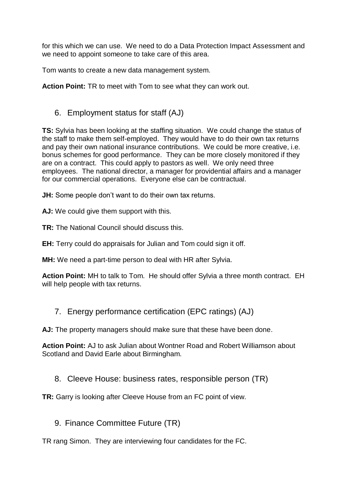for this which we can use. We need to do a Data Protection Impact Assessment and we need to appoint someone to take care of this area.

Tom wants to create a new data management system.

**Action Point:** TR to meet with Tom to see what they can work out.

#### 6. Employment status for staff (AJ)

**TS:** Sylvia has been looking at the staffing situation. We could change the status of the staff to make them self-employed. They would have to do their own tax returns and pay their own national insurance contributions. We could be more creative, i.e. bonus schemes for good performance. They can be more closely monitored if they are on a contract. This could apply to pastors as well. We only need three employees. The national director, a manager for providential affairs and a manager for our commercial operations. Everyone else can be contractual.

**JH:** Some people don't want to do their own tax returns.

**AJ:** We could give them support with this.

**TR:** The National Council should discuss this.

**EH:** Terry could do appraisals for Julian and Tom could sign it off.

**MH:** We need a part-time person to deal with HR after Sylvia.

**Action Point:** MH to talk to Tom. He should offer Sylvia a three month contract. EH will help people with tax returns.

7. Energy performance certification (EPC ratings) (AJ)

**AJ:** The property managers should make sure that these have been done.

**Action Point:** AJ to ask Julian about Wontner Road and Robert Williamson about Scotland and David Earle about Birmingham.

8. Cleeve House: business rates, responsible person (TR)

**TR:** Garry is looking after Cleeve House from an FC point of view.

9. Finance Committee Future (TR)

TR rang Simon. They are interviewing four candidates for the FC.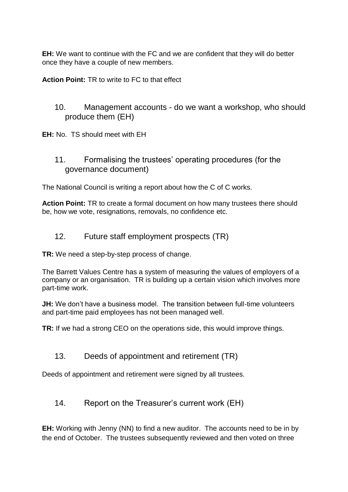**EH:** We want to continue with the FC and we are confident that they will do better once they have a couple of new members.

**Action Point:** TR to write to FC to that effect

- 10. Management accounts do we want a workshop, who should produce them (EH)
- **EH:** No.TS should meet with EH
	- 11. Formalising the trustees' operating procedures (for the governance document)

The National Council is writing a report about how the C of C works.

**Action Point:** TR to create a formal document on how many trustees there should be, how we vote, resignations, removals, no confidence etc.

#### 12. Future staff employment prospects (TR)

**TR:** We need a step-by-step process of change.

The Barrett Values Centre has a system of measuring the values of employers of a company or an organisation. TR is building up a certain vision which involves more part-time work.

**JH:** We don't have a business model. The transition between full-time volunteers and part-time paid employees has not been managed well.

**TR:** If we had a strong CEO on the operations side, this would improve things.

13. Deeds of appointment and retirement (TR)

Deeds of appointment and retirement were signed by all trustees.

14. Report on the Treasurer's current work (EH)

**EH:** Working with Jenny (NN) to find a new auditor. The accounts need to be in by the end of October. The trustees subsequently reviewed and then voted on three